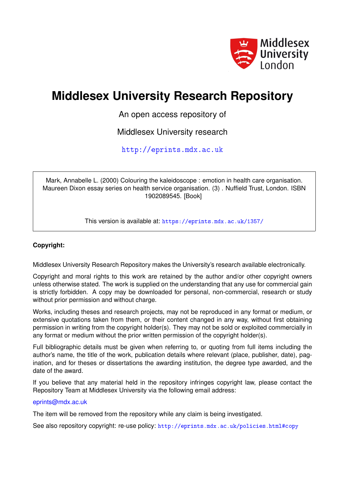

# **Middlesex University Research Repository**

An open access repository of

Middlesex University research

<http://eprints.mdx.ac.uk>

Mark, Annabelle L. (2000) Colouring the kaleidoscope : emotion in health care organisation. Maureen Dixon essay series on health service organisation. (3) . Nuffield Trust, London. ISBN 1902089545. [Book]

This version is available at: <https://eprints.mdx.ac.uk/1357/>

### **Copyright:**

Middlesex University Research Repository makes the University's research available electronically.

Copyright and moral rights to this work are retained by the author and/or other copyright owners unless otherwise stated. The work is supplied on the understanding that any use for commercial gain is strictly forbidden. A copy may be downloaded for personal, non-commercial, research or study without prior permission and without charge.

Works, including theses and research projects, may not be reproduced in any format or medium, or extensive quotations taken from them, or their content changed in any way, without first obtaining permission in writing from the copyright holder(s). They may not be sold or exploited commercially in any format or medium without the prior written permission of the copyright holder(s).

Full bibliographic details must be given when referring to, or quoting from full items including the author's name, the title of the work, publication details where relevant (place, publisher, date), pagination, and for theses or dissertations the awarding institution, the degree type awarded, and the date of the award.

If you believe that any material held in the repository infringes copyright law, please contact the Repository Team at Middlesex University via the following email address:

#### [eprints@mdx.ac.uk](mailto:eprints@mdx.ac.uk)

The item will be removed from the repository while any claim is being investigated.

See also repository copyright: re-use policy: <http://eprints.mdx.ac.uk/policies.html#copy>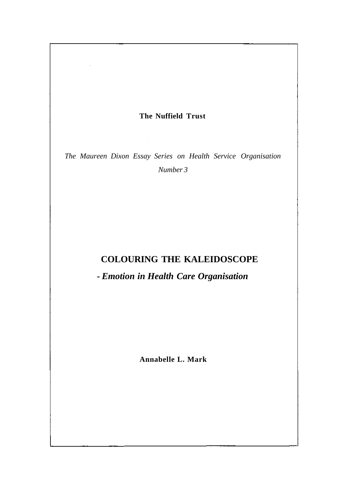## **The Nuffield Trust**

 $\mathcal{L}_{\mathcal{A}}$ 

*The Maureen Dixon Essay Series on Health Service Organisation Number 3* 

# **COLOURING THE KALEIDOSCOPE**

**-** *Emotion in Health Care Organisation* 

**Annabelle L. Mark**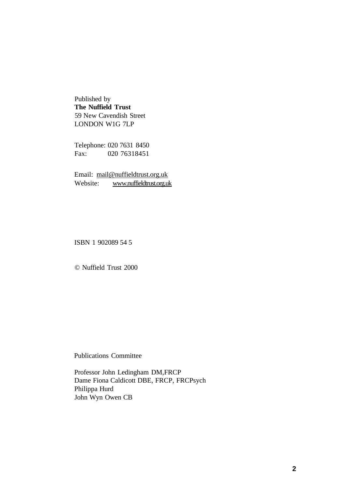Published by **The Nuffield Trust**  59 New Cavendish Street LONDON W1G 7LP

Telephone: 020 7631 8450 Fax: 020 76318451

Email: [mail@nuffieldtrust.org.uk](mailto:mail@nuffieldtrust.org.uk)  Website: [www.nuffieldtrust.org.uk](vvWw.nuffieldtrust.org.uk) 

ISBN 1 902089 54 5

© Nuffield Trust 2000

Publications Committee

Professor John Ledingham DM,FRCP Dame Fiona Caldicott DBE, FRCP, FRCPsych Philippa Hurd John Wyn Owen CB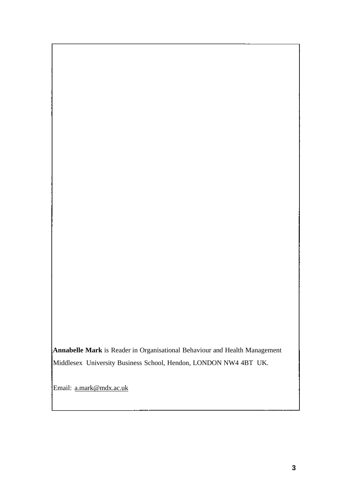**Annabelle Mark** is Reader in Organisational Behaviour and Health Management Middlesex University Business School, Hendon, LONDON NW4 4BT UK.

Email: [a.mark@mdx.ac.uk](mailto:a.mark@mdx.ac.uk)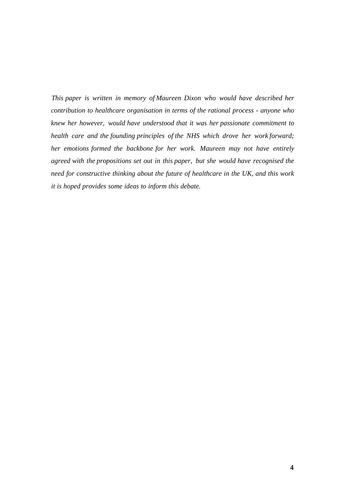*This paper is written in memory of Maureen Dixon who would have described her contribution to healthcare organisation in terms of the rational process - anyone who knew her however, would have understood that it was her passionate commitment to health care and the founding principles of the NHS which drove her work forward; her emotions formed the backbone for her work. Maureen may not have entirely agreed with the propositions set out in this paper, but she would have recognised the need for constructive thinking about the future of healthcare in the UK, and this work it is hoped provides some ideas to inform this debate.*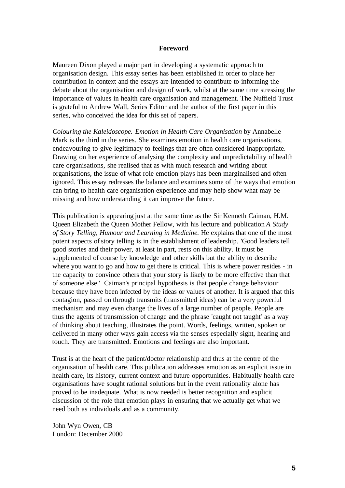#### **Foreword**

Maureen Dixon played a major part in developing a systematic approach to organisation design. This essay series has been established in order to place her contribution in context and the essays are intended to contribute to informing the debate about the organisation and design of work, whilst at the same time stressing the importance of values in health care organisation and management. The Nuffield Trust is grateful to Andrew Wall, Series Editor and the author of the first paper in this series, who conceived the idea for this set of papers.

*Colouring the Kaleidoscope. Emotion in Health Care Organisation* by Annabelle Mark is the third in the series. She examines emotion in health care organisations, endeavouring to give legitimacy to feelings that are often considered inappropriate. Drawing on her experience of analysing the complexity and unpredictability of health care organisations, she realised that as with much research and writing about organisations, the issue of what role emotion plays has been marginalised and often ignored. This essay redresses the balance and examines some of the ways that emotion can bring to health care organisation experience and may help show what may be missing and how understanding it can improve the future.

This publication is appearing just at the same time as the Sir Kenneth Caiman, H.M. Queen Elizabeth the Queen Mother Fellow, with his lecture and publication *A Study of Story Telling, Humour and Learning in Medicine.* He explains that one of the most potent aspects of story telling is in the establishment of leadership. 'Good leaders tell good stories and their power, at least in part, rests on this ability. It must be supplemented of course by knowledge and other skills but the ability to describe where you want to go and how to get there is critical. This is where power resides - in the capacity to convince others that your story is likely to be more effective than that of someone else.' Caiman's principal hypothesis is that people change behaviour because they have been infected by the ideas or values of another. It is argued that this contagion, passed on through transmits (transmitted ideas) can be a very powerful mechanism and may even change the lives of a large number of people. People are thus the agents of transmission of change and the phrase 'caught not taught' as a way of thinking about teaching, illustrates the point. Words, feelings, written, spoken or delivered in many other ways gain access via the senses especially sight, hearing and touch. They are transmitted. Emotions and feelings are also important.

Trust is at the heart of the patient/doctor relationship and thus at the centre of the organisation of health care. This publication addresses emotion as an explicit issue in health care, its history, current context and future opportunities. Habitually health care organisations have sought rational solutions but in the event rationality alone has proved to be inadequate. What is now needed is better recognition and explicit discussion of the role that emotion plays in ensuring that we actually get what we need both as individuals and as a community.

John Wyn Owen, CB London: December 2000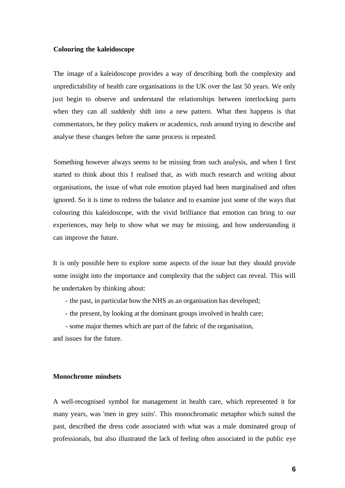#### **Colouring the kaleidoscope**

The image of a kaleidoscope provides a way of describing both the complexity and unpredictability of health care organisations in the UK over the last 50 years. We only just begin to observe and understand the relationships between interlocking parts when they can all suddenly shift into a new pattern. What then happens is that commentators, be they policy makers or academics, rush around trying to describe and analyse these changes before the same process is repeated.

Something however always seems to be missing from such analysis, and when I first started to think about this I realised that, as with much research and writing about organisations, the issue of what role emotion played had been marginalised and often ignored. So it is time to redress the balance and to examine just some of the ways that colouring this kaleidoscope, with the vivid brilliance that emotion can bring to our experiences, may help to show what we may be missing, and how understanding it can improve the future.

It is only possible here to explore some aspects of the issue but they should provide some insight into the importance and complexity that the subject can reveal. This will be undertaken by thinking about:

- the past, in particular how the NHS as an organisation has developed;
- the present, by looking at the dominant groups involved in health care;

- some major themes which are part of the fabric of the organisation,

and issues for the future.

#### **Monochrome mindsets**

A well-recognised symbol for management in health care, which represented it for many years, was 'men in grey suits'. This monochromatic metaphor which suited the past, described the dress code associated with what was a male dominated group of professionals, but also illustrated the lack of feeling often associated in the public eye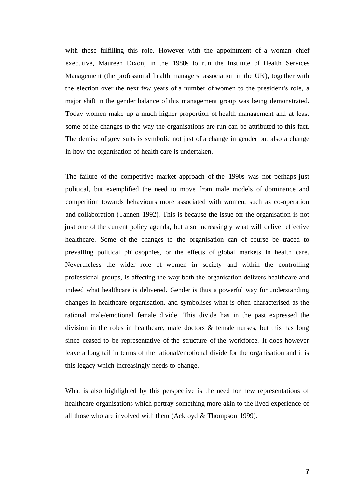with those fulfilling this role. However with the appointment of a woman chief executive, Maureen Dixon, in the 1980s to run the Institute of Health Services Management (the professional health managers' association in the UK), together with the election over the next few years of a number of women to the president's role, a major shift in the gender balance of this management group was being demonstrated. Today women make up a much higher proportion of health management and at least some of the changes to the way the organisations are run can be attributed to this fact. The demise of grey suits is symbolic not just of a change in gender but also a change in how the organisation of health care is undertaken.

The failure of the competitive market approach of the 1990s was not perhaps just political, but exemplified the need to move from male models of dominance and competition towards behaviours more associated with women, such as co-operation and collaboration (Tannen 1992). This is because the issue for the organisation is not just one of the current policy agenda, but also increasingly what will deliver effective healthcare. Some of the changes to the organisation can of course be traced to prevailing political philosophies, or the effects of global markets in health care. Nevertheless the wider role of women in society and within the controlling professional groups, is affecting the way both the organisation delivers healthcare and indeed what healthcare is delivered. Gender is thus a powerful way for understanding changes in healthcare organisation, and symbolises what is often characterised as the rational male/emotional female divide. This divide has in the past expressed the division in the roles in healthcare, male doctors & female nurses, but this has long since ceased to be representative of the structure of the workforce. It does however leave a long tail in terms of the rational/emotional divide for the organisation and it is this legacy which increasingly needs to change.

What is also highlighted by this perspective is the need for new representations of healthcare organisations which portray something more akin to the lived experience of all those who are involved with them (Ackroyd & Thompson 1999).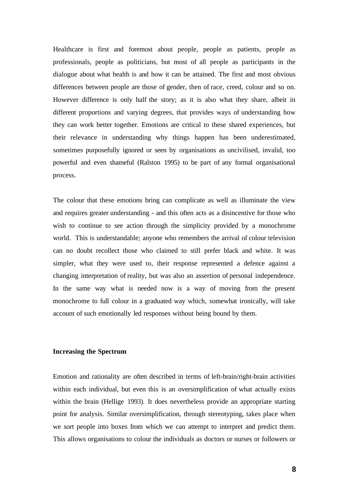Healthcare is first and foremost about people, people as patients, people as professionals, people as politicians, but most of all people as participants in the dialogue about what health is and how it can be attained. The first and most obvious differences between people are those of gender, then of race, creed, colour and so on. However difference is only half the story; as it is also what they share, albeit in different proportions and varying degrees, that provides ways of understanding how they can work better together. Emotions are critical to these shared experiences, but their relevance in understanding why things happen has been underestimated, sometimes purposefully ignored or seen by organisations as uncivilised, invalid, too powerful and even shameful (Ralston 1995) to be part of any formal organisational process.

The colour that these emotions bring can complicate as well as illuminate the view and requires greater understanding - and this often acts as a disincentive for those who wish to continue to see action through the simplicity provided by a monochrome world. This is understandable; anyone who remembers the arrival of colour television can no doubt recollect those who claimed to still prefer black and white. It was simpler, what they were used to, their response represented a defence against a changing interpretation of reality, but was also an assertion of personal independence. In the same way what is needed now is a way of moving from the present monochrome to full colour in a graduated way which, somewhat ironically, will take account of such emotionally led responses without being bound by them.

#### **Increasing the Spectrum**

Emotion and rationality are often described in terms of left-brain/right-brain activities within each individual, but even this is an oversimplification of what actually exists within the brain (Hellige 1993). It does nevertheless provide an appropriate starting point for analysis. Similar oversimplification, through stereotyping, takes place when we sort people into boxes from which we can attempt to interpret and predict them. This allows organisations to colour the individuals as doctors or nurses or followers or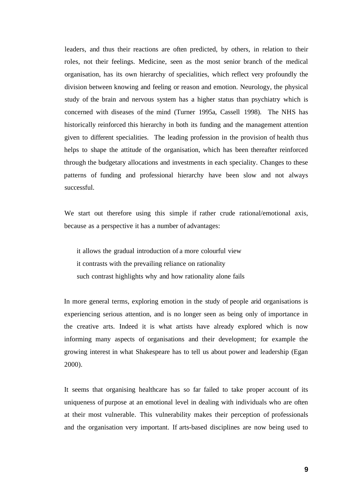leaders, and thus their reactions are often predicted, by others, in relation to their roles, not their feelings. Medicine, seen as the most senior branch of the medical organisation, has its own hierarchy of specialities, which reflect very profoundly the division between knowing and feeling or reason and emotion. Neurology, the physical study of the brain and nervous system has a higher status than psychiatry which is concerned with diseases of the mind (Turner 1995a, Cassell 1998). The NHS has historically reinforced this hierarchy in both its funding and the management attention given to different specialities. The leading profession in the provision of health thus helps to shape the attitude of the organisation, which has been thereafter reinforced through the budgetary allocations and investments in each speciality. Changes to these patterns of funding and professional hierarchy have been slow and not always successful.

We start out therefore using this simple if rather crude rational/emotional axis, because as a perspective it has a number of advantages:

it allows the gradual introduction of a more colourful view it contrasts with the prevailing reliance on rationality such contrast highlights why and how rationality alone fails

In more general terms, exploring emotion in the study of people arid organisations is experiencing serious attention, and is no longer seen as being only of importance in the creative arts. Indeed it is what artists have already explored which is now informing many aspects of organisations and their development; for example the growing interest in what Shakespeare has to tell us about power and leadership (Egan 2000).

It seems that organising healthcare has so far failed to take proper account of its uniqueness of purpose at an emotional level in dealing with individuals who are often at their most vulnerable. This vulnerability makes their perception of professionals and the organisation very important. If arts-based disciplines are now being used to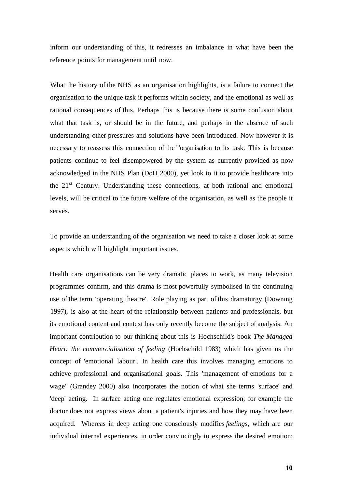inform our understanding of this, it redresses an imbalance in what have been the reference points for management until now.

What the history of the NHS as an organisation highlights, is a failure to connect the organisation to the unique task it performs within society, and the emotional as well as rational consequences of this. Perhaps this is because there is some confusion about what that task is, or should be in the future, and perhaps in the absence of such understanding other pressures and solutions have been introduced. Now however it is necessary to reassess this connection of the '"organisation to its task. This is because patients continue to feel disempowered by the system as currently provided as now acknowledged in the NHS Plan (DoH 2000), yet look to it to provide healthcare into the 21<sup>st</sup> Century. Understanding these connections, at both rational and emotional levels, will be critical to the future welfare of the organisation, as well as the people it serves.

To provide an understanding of the organisation we need to take a closer look at some aspects which will highlight important issues.

Health care organisations can be very dramatic places to work, as many television programmes confirm, and this drama is most powerfully symbolised in the continuing use of the term 'operating theatre'. Role playing as part of this dramaturgy (Downing 1997), is also at the heart of the relationship between patients and professionals, but its emotional content and context has only recently become the subject of analysis. An important contribution to our thinking about this is Hochschild's book *The Managed Heart: the commercialisation of feeling* (Hochschild 1983) which has given us the concept of 'emotional labour'. In health care this involves managing emotions to achieve professional and organisational goals. This 'management of emotions for a wage' (Grandey 2000) also incorporates the notion of what she terms 'surface' and 'deep' acting. In surface acting one regulates emotional expression; for example the doctor does not express views about a patient's injuries and how they may have been acquired. Whereas in deep acting one consciously modifies *feelings,* which are our individual internal experiences, in order convincingly to express the desired emotion;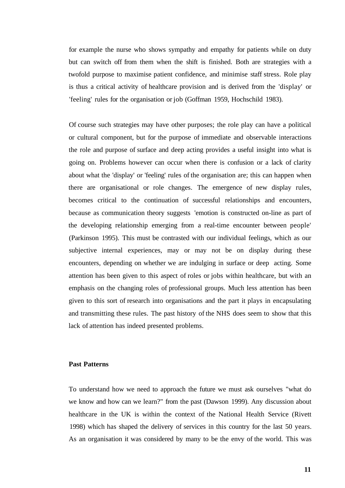for example the nurse who shows sympathy and empathy for patients while on duty but can switch off from them when the shift is finished. Both are strategies with a twofold purpose to maximise patient confidence, and minimise staff stress. Role play is thus a critical activity of healthcare provision and is derived from the 'display' or 'feeling' rules for the organisation or job (Goffman 1959, Hochschild 1983).

Of course such strategies may have other purposes; the role play can have a political or cultural component, but for the purpose of immediate and observable interactions the role and purpose of surface and deep acting provides a useful insight into what is going on. Problems however can occur when there is confusion or a lack of clarity about what the 'display' or 'feeling' rules of the organisation are; this can happen when there are organisational or role changes. The emergence of new display rules, becomes critical to the continuation of successful relationships and encounters, because as communication theory suggests 'emotion is constructed on-line as part of the developing relationship emerging from a real-time encounter between people' (Parkinson 1995). This must be contrasted with our individual feelings, which as our subjective internal experiences, may or may not be on display during these encounters, depending on whether we are indulging in surface or deep acting. Some attention has been given to this aspect of roles or jobs within healthcare, but with an emphasis on the changing roles of professional groups. Much less attention has been given to this sort of research into organisations and the part it plays in encapsulating and transmitting these rules. The past history of the NHS does seem to show that this lack of attention has indeed presented problems.

#### **Past Patterns**

To understand how we need to approach the future we must ask ourselves "what do we know and how can we learn?" from the past (Dawson 1999). Any discussion about healthcare in the UK is within the context of the National Health Service (Rivett 1998) which has shaped the delivery of services in this country for the last 50 years. As an organisation it was considered by many to be the envy of the world. This was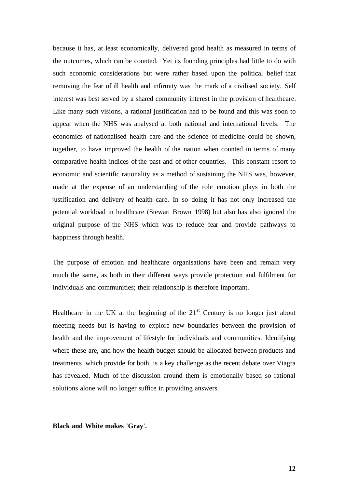because it has, at least economically, delivered good health as measured in terms of the outcomes, which can be counted. Yet its founding principles had little to do with such economic considerations but were rather based upon the political belief that removing the fear of ill health and infirmity was the mark of a civilised society. Self interest was best served by a shared community interest in the provision of healthcare. Like many such visions, a rational justification had to be found and this was soon to appear when the NHS was analysed at both national and international levels. The economics of nationalised health care and the science of medicine could be shown, together, to have improved the health of the nation when counted in terms of many comparative health indices of the past and of other countries. This constant resort to economic and scientific rationality as a method of sustaining the NHS was, however, made at the expense of an understanding of the role emotion plays in both the justification and delivery of health care. In so doing it has not only increased the potential workload in healthcare (Stewart Brown 1998) but also has also ignored the original purpose of the NHS which was to reduce fear and provide pathways to happiness through health.

The purpose of emotion and healthcare organisations have been and remain very much the same, as both in their different ways provide protection and fulfilment for individuals and communities; their relationship is therefore important.

Healthcare in the UK at the beginning of the  $21<sup>st</sup>$  Century is no longer just about meeting needs but is having to explore new boundaries between the provision of health and the improvement of lifestyle for individuals and communities. Identifying where these are, and how the health budget should be allocated between products and treatments which provide for both, is a key challenge as the recent debate over Viagra has revealed. Much of the discussion around them is emotionally based so rational solutions alone will no longer suffice in providing answers.

**Black and White makes 'Gray'.**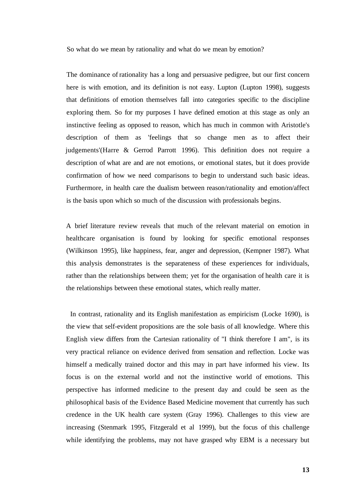So what do we mean by rationality and what do we mean by emotion?

The dominance of rationality has a long and persuasive pedigree, but our first concern here is with emotion, and its definition is not easy. Lupton (Lupton 1998), suggests that definitions of emotion themselves fall into categories specific to the discipline exploring them. So for my purposes I have defined emotion at this stage as only an instinctive feeling as opposed to reason, which has much in common with Aristotle's description of them as 'feelings that so change men as to affect their judgements'(Harre & Gerrod Parrott 1996). This definition does not require a description of what are and are not emotions, or emotional states, but it does provide confirmation of how we need comparisons to begin to understand such basic ideas. Furthermore, in health care the dualism between reason/rationality and emotion/affect is the basis upon which so much of the discussion with professionals begins.

A brief literature review reveals that much of the relevant material on emotion in healthcare organisation is found by looking for specific emotional responses (Wilkinson 1995), like happiness, fear, anger and depression, (Kempner 1987). What this analysis demonstrates is the separateness of these experiences for individuals, rather than the relationships between them; yet for the organisation of health care it is the relationships between these emotional states, which really matter.

In contrast, rationality and its English manifestation as empiricism (Locke 1690), is the view that self-evident propositions are the sole basis of all knowledge. Where this English view differs from the Cartesian rationality of "I think therefore I am", is its very practical reliance on evidence derived from sensation and reflection. Locke was himself a medically trained doctor and this may in part have informed his view. Its focus is on the external world and not the instinctive world of emotions. This perspective has informed medicine to the present day and could be seen as the philosophical basis of the Evidence Based Medicine movement that currently has such credence in the UK health care system (Gray 1996). Challenges to this view are increasing (Stenmark 1995, Fitzgerald et al 1999), but the focus of this challenge while identifying the problems, may not have grasped why EBM is a necessary but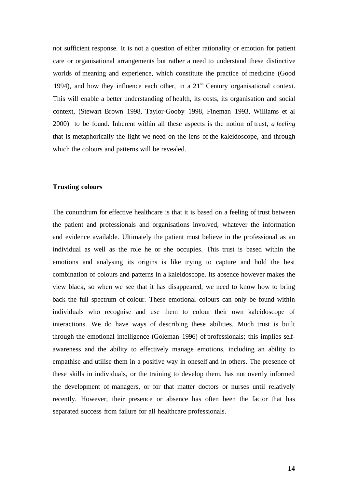not sufficient response. It is not a question of either rationality or emotion for patient care or organisational arrangements but rather a need to understand these distinctive worlds of meaning and experience, which constitute the practice of medicine (Good 1994), and how they influence each other, in a  $21<sup>st</sup>$  Century organisational context. This will enable a better understanding of health, its costs, its organisation and social context, (Stewart Brown 1998, Taylor-Gooby 1998, Fineman 1993, Williams et al 2000) to be found. Inherent within all these aspects is the notion of trust, *a feeling*  that is metaphorically the light we need on the lens of the kaleidoscope, and through which the colours and patterns will be revealed.

#### **Trusting colours**

The conundrum for effective healthcare is that it is based on a feeling of trust between the patient and professionals and organisations involved, whatever the information and evidence available. Ultimately the patient must believe in the professional as an individual as well as the role he or she occupies. This trust is based within the emotions and analysing its origins is like trying to capture and hold the best combination of colours and patterns in a kaleidoscope. Its absence however makes the view black, so when we see that it has disappeared, we need to know how to bring back the full spectrum of colour. These emotional colours can only be found within individuals who recognise and use them to colour their own kaleidoscope of interactions. We do have ways of describing these abilities. Much trust is built through the emotional intelligence (Goleman 1996) of professionals; this implies selfawareness and the ability to effectively manage emotions, including an ability to empathise and utilise them in a positive way in oneself and in others. The presence of these skills in individuals, or the training to develop them, has not overtly informed the development of managers, or for that matter doctors or nurses until relatively recently. However, their presence or absence has often been the factor that has separated success from failure for all healthcare professionals.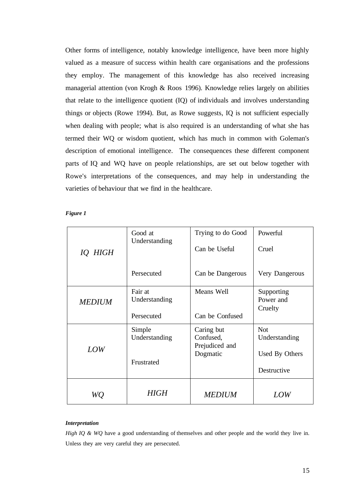Other forms of intelligence, notably knowledge intelligence, have been more highly valued as a measure of success within health care organisations and the professions they employ. The management of this knowledge has also received increasing managerial attention (von Krogh & Roos 1996). Knowledge relies largely on abilities that relate to the intelligence quotient (IQ) of individuals and involves understanding things or objects (Rowe 1994). But, as Rowe suggests, IQ is not sufficient especially when dealing with people; what is also required is an understanding of what she has termed their WQ or wisdom quotient, which has much in common with Goleman's description of emotional intelligence. The consequences these different component parts of IQ and WQ have on people relationships, are set out below together with Rowe's interpretations of the consequences, and may help in understanding the varieties of behaviour that we find in the healthcare.

*Figure 1* 

|               | Good at<br>Understanding | Trying to do Good                         | Powerful                           |
|---------------|--------------------------|-------------------------------------------|------------------------------------|
| IQ HIGH       |                          | Can be Useful                             | Cruel                              |
|               | Persecuted               | Can be Dangerous                          | Very Dangerous                     |
| <b>MEDIUM</b> | Fair at<br>Understanding | Means Well                                | Supporting<br>Power and<br>Cruelty |
|               | Persecuted               | Can be Confused                           |                                    |
| <b>LOW</b>    | Simple<br>Understanding  | Caring but<br>Confused,<br>Prejudiced and | <b>Not</b><br>Understanding        |
|               | Frustrated               | Dogmatic                                  | Used By Others<br>Destructive      |
| WQ            | HIGH                     | <b>MEDIUM</b>                             | LOW                                |

#### *Interpretation*

*High IQ & WQ* have a good understanding of themselves and other people and the world they live in. Unless they are very careful they are persecuted.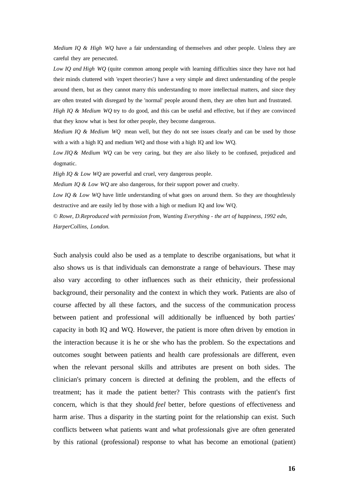*Medium IQ & High WQ* have a fair understanding of themselves and other people. Unless they are careful they are persecuted.

*Low IQ and High WQ* (quite common among people with learning difficulties since they have not had their minds cluttered with 'expert theories') have a very simple and direct understanding of the people around them, but as they cannot marry this understanding to more intellectual matters, and since they are often treated with disregard by the 'normal' people around them, they are often hurt and frustrated.

*High IQ & Medium WQ* try to do good, and this can be useful and effective, but if they are convinced that they know what is best for other people, they become dangerous.

*Medium IQ & Medium WQ* mean well, but they do not see issues clearly and can be used by those with a with a high IQ and medium WQ and those with a high IQ and low WQ.

*Low JIQ & Medium WQ* can be very caring, but they are also likely to be confused, prejudiced and dogmatic.

*High IQ & Low WQ* are powerful and cruel, very dangerous people.

*Medium IQ & Low WQ* are also dangerous, for their support power and cruelty.

*Low IQ & Low WQ* have little understanding of what goes on around them. So they are thoughtlessly destructive and are easily led by those with a high or medium IQ and low WQ.

© *Rowe, D.Reproduced with permission from, Wanting Everything - the art of happiness, 1992 edn, HarperCollins, London.* 

Such analysis could also be used as a template to describe organisations, but what it also shows us is that individuals can demonstrate a range of behaviours. These may also vary according to other influences such as their ethnicity, their professional background, their personality and the context in which they work. Patients are also of course affected by all these factors, and the success of the communication process between patient and professional will additionally be influenced by both parties' capacity in both IQ and WQ. However, the patient is more often driven by emotion in the interaction because it is he or she who has the problem. So the expectations and outcomes sought between patients and health care professionals are different, even when the relevant personal skills and attributes are present on both sides. The clinician's primary concern is directed at defining the problem, and the effects of treatment; has it made the patient better? This contrasts with the patient's first concern, which is that they should *feel* better, before questions of effectiveness and harm arise. Thus a disparity in the starting point for the relationship can exist. Such conflicts between what patients want and what professionals give are often generated by this rational (professional) response to what has become an emotional (patient)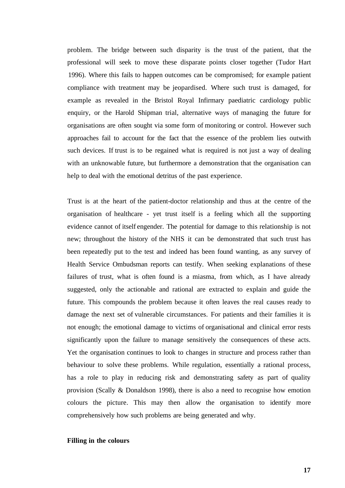problem. The bridge between such disparity is the trust of the patient, that the professional will seek to move these disparate points closer together (Tudor Hart 1996). Where this fails to happen outcomes can be compromised; for example patient compliance with treatment may be jeopardised. Where such trust is damaged, for example as revealed in the Bristol Royal Infirmary paediatric cardiology public enquiry, or the Harold Shipman trial, alternative ways of managing the future for organisations are often sought via some form of monitoring or control. However such approaches fail to account for the fact that the essence of the problem lies outwith such devices. If trust is to be regained what is required is not just a way of dealing with an unknowable future, but furthermore a demonstration that the organisation can help to deal with the emotional detritus of the past experience.

Trust is at the heart of the patient-doctor relationship and thus at the centre of the organisation of healthcare - yet trust itself is a feeling which all the supporting evidence cannot of itself engender. The potential for damage to this relationship is not new; throughout the history of the NHS it can be demonstrated that such trust has been repeatedly put to the test and indeed has been found wanting, as any survey of Health Service Ombudsman reports can testify. When seeking explanations of these failures of trust, what is often found is a miasma, from which, as I have already suggested, only the actionable and rational are extracted to explain and guide the future. This compounds the problem because it often leaves the real causes ready to damage the next set of vulnerable circumstances. For patients and their families it is not enough; the emotional damage to victims of organisational and clinical error rests significantly upon the failure to manage sensitively the consequences of these acts. Yet the organisation continues to look to changes in structure and process rather than behaviour to solve these problems. While regulation, essentially a rational process, has a role to play in reducing risk and demonstrating safety as part of quality provision (Scally & Donaldson 1998), there is also a need to recognise how emotion colours the picture. This may then allow the organisation to identify more comprehensively how such problems are being generated and why.

#### **Filling in the colours**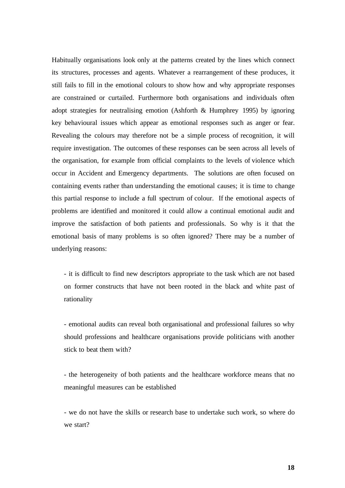Habitually organisations look only at the patterns created by the lines which connect its structures, processes and agents. Whatever a rearrangement of these produces, it still fails to fill in the emotional colours to show how and why appropriate responses are constrained or curtailed. Furthermore both organisations and individuals often adopt strategies for neutralising emotion (Ashforth & Humphrey 1995) by ignoring key behavioural issues which appear as emotional responses such as anger or fear. Revealing the colours may therefore not be a simple process of recognition, it will require investigation. The outcomes of these responses can be seen across all levels of the organisation, for example from official complaints to the levels of violence which occur in Accident and Emergency departments. The solutions are often focused on containing events rather than understanding the emotional causes; it is time to change this partial response to include a full spectrum of colour. If the emotional aspects of problems are identified and monitored it could allow a continual emotional audit and improve the satisfaction of both patients and professionals. So why is it that the emotional basis of many problems is so often ignored? There may be a number of underlying reasons:

- it is difficult to find new descriptors appropriate to the task which are not based on former constructs that have not been rooted in the black and white past of rationality

- emotional audits can reveal both organisational and professional failures so why should professions and healthcare organisations provide politicians with another stick to beat them with?

- the heterogeneity of both patients and the healthcare workforce means that no meaningful measures can be established

- we do not have the skills or research base to undertake such work, so where do we start?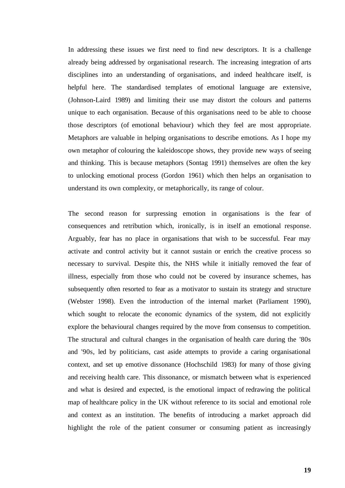In addressing these issues we first need to find new descriptors. It is a challenge already being addressed by organisational research. The increasing integration of arts disciplines into an understanding of organisations, and indeed healthcare itself, is helpful here. The standardised templates of emotional language are extensive, (Johnson-Laird 1989) and limiting their use may distort the colours and patterns unique to each organisation. Because of this organisations need to be able to choose those descriptors (of emotional behaviour) which they feel are most appropriate. Metaphors are valuable in helping organisations to describe emotions. As I hope my own metaphor of colouring the kaleidoscope shows, they provide new ways of seeing and thinking. This is because metaphors (Sontag 1991) themselves are often the key to unlocking emotional process (Gordon 1961) which then helps an organisation to understand its own complexity, or metaphorically, its range of colour.

The second reason for surpressing emotion in organisations is the fear of consequences and retribution which, ironically, is in itself an emotional response. Arguably, fear has no place in organisations that wish to be successful. Fear may activate and control activity but it cannot sustain or enrich the creative process so necessary to survival. Despite this, the NHS while it initially removed the fear of illness, especially from those who could not be covered by insurance schemes, has subsequently often resorted to fear as a motivator to sustain its strategy and structure (Webster 1998). Even the introduction of the internal market (Parliament 1990), which sought to relocate the economic dynamics of the system, did not explicitly explore the behavioural changes required by the move from consensus to competition. The structural and cultural changes in the organisation of health care during the '80s and '90s, led by politicians, cast aside attempts to provide a caring organisational context, and set up emotive dissonance (Hochschild 1983) for many of those giving and receiving health care. This dissonance, or mismatch between what is experienced and what is desired and expected, is the emotional impact of redrawing the political map of healthcare policy in the UK without reference to its social and emotional role and context as an institution. The benefits of introducing a market approach did highlight the role of the patient consumer or consuming patient as increasingly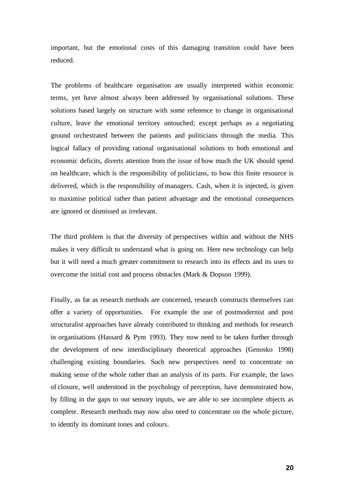important, but the emotional costs of this damaging transition could have been reduced.

The problems of healthcare organisation are usually interpreted within economic terms, yet have almost always been addressed by organisational solutions. These solutions based largely on structure with some reference to change in organisational culture, leave the emotional territory untouched; except perhaps as a negotiating ground orchestrated between the patients and politicians through the media. This logical fallacy of providing rational organisational solutions to both emotional and economic deficits, diverts attention from the issue of how much the UK should spend on healthcare, which is the responsibility of politicians, to how this finite resource is delivered, which is the responsibility of managers. Cash, when it is injected, is given to maximise political rather than patient advantage and the emotional consequences are ignored or dismissed as irrelevant.

The third problem is that the diversity of perspectives within and without the NHS makes it very difficult to understand what is going on. Here new technology can help but it will need a much greater commitment to research into its effects and its uses to overcome the initial cost and process obstacles (Mark & Dopson 1999).

Finally, as far as research methods are concerned, research constructs themselves can offer a variety of opportunities. For example the use of postmodernist and post structuralist approaches have already contributed to thinking and methods for research in organisations (Hassard & Pym 1993). They now need to be taken further through the development of new interdisciplinary theoretical approaches (Genosko 1998) challenging existing boundaries. Such new perspectives need to concentrate on making sense of the whole rather than an analysis of its parts. For example, the laws of closure, well understood in the psychology of perception, have demonstrated how, by filling in the gaps to our sensory inputs, we are able to see incomplete objects as complete. Research methods may now also need to concentrate on the whole picture, to identify its dominant tones and colours.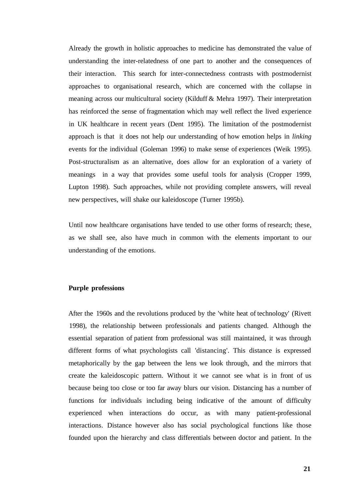Already the growth in holistic approaches to medicine has demonstrated the value of understanding the inter-relatedness of one part to another and the consequences of their interaction. This search for inter-connectedness contrasts with postmodernist approaches to organisational research, which are concerned with the collapse in meaning across our multicultural society (Kilduff & Mehra 1997). Their interpretation has reinforced the sense of fragmentation which may well reflect the lived experience in UK healthcare in recent years (Dent 1995). The limitation of the postmodernist approach is that it does not help our understanding of how emotion helps in *linking*  events for the individual (Goleman 1996) to make sense of experiences (Weik 1995). Post-structuralism as an alternative, does allow for an exploration of a variety of meanings in a way that provides some useful tools for analysis (Cropper 1999, Lupton 1998). Such approaches, while not providing complete answers, will reveal new perspectives, will shake our kaleidoscope (Turner 1995b).

Until now healthcare organisations have tended to use other forms of research; these, as we shall see, also have much in common with the elements important to our understanding of the emotions.

#### **Purple professions**

After the 1960s and the revolutions produced by the 'white heat of technology' (Rivett 1998), the relationship between professionals and patients changed. Although the essential separation of patient from professional was still maintained, it was through different forms of what psychologists call 'distancing'. This distance is expressed metaphorically by the gap between the lens we look through, and the mirrors that create the kaleidoscopic pattern. Without it we cannot see what is in front of us because being too close or too far away blurs our vision. Distancing has a number of functions for individuals including being indicative of the amount of difficulty experienced when interactions do occur, as with many patient-professional interactions. Distance however also has social psychological functions like those founded upon the hierarchy and class differentials between doctor and patient. In the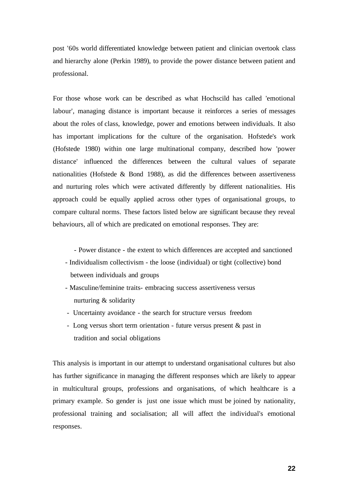post '60s world differentiated knowledge between patient and clinician overtook class and hierarchy alone (Perkin 1989), to provide the power distance between patient and professional.

For those whose work can be described as what Hochscild has called 'emotional labour', managing distance is important because it reinforces a series of messages about the roles of class, knowledge, power and emotions between individuals. It also has important implications for the culture of the organisation. Hofstede's work (Hofstede 1980) within one large multinational company, described how 'power distance' influenced the differences between the cultural values of separate nationalities (Hofstede  $& Bond$  1988), as did the differences between assertiveness and nurturing roles which were activated differently by different nationalities. His approach could be equally applied across other types of organisational groups, to compare cultural norms. These factors listed below are significant because they reveal behaviours, all of which are predicated on emotional responses. They are:

- Power distance - the extent to which differences are accepted and sanctioned

- Individualism collectivism the loose (individual) or tight (collective) bond between individuals and groups
- Masculine/feminine traits- embracing success assertiveness versus nurturing & solidarity
- Uncertainty avoidance the search for structure versus freedom
- Long versus short term orientation future versus present & past in tradition and social obligations

This analysis is important in our attempt to understand organisational cultures but also has further significance in managing the different responses which are likely to appear in multicultural groups, professions and organisations, of which healthcare is a primary example. So gender is just one issue which must be joined by nationality, professional training and socialisation; all will affect the individual's emotional responses.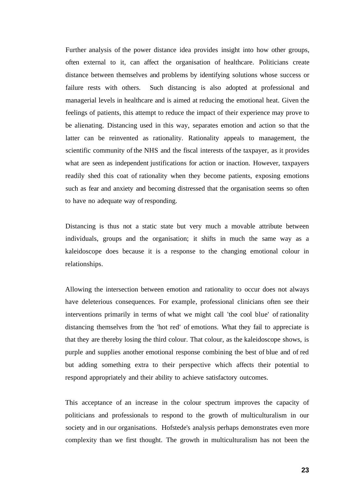Further analysis of the power distance idea provides insight into how other groups, often external to it, can affect the organisation of healthcare. Politicians create distance between themselves and problems by identifying solutions whose success or failure rests with others. Such distancing is also adopted at professional and managerial levels in healthcare and is aimed at reducing the emotional heat. Given the feelings of patients, this attempt to reduce the impact of their experience may prove to be alienating. Distancing used in this way, separates emotion and action so that the latter can be reinvented as rationality. Rationality appeals to management, the scientific community of the NHS and the fiscal interests of the taxpayer, as it provides what are seen as independent justifications for action or inaction. However, taxpayers readily shed this coat of rationality when they become patients, exposing emotions such as fear and anxiety and becoming distressed that the organisation seems so often to have no adequate way of responding.

Distancing is thus not a static state but very much a movable attribute between individuals, groups and the organisation; it shifts in much the same way as a kaleidoscope does because it is a response to the changing emotional colour in relationships.

Allowing the intersection between emotion and rationality to occur does not always have deleterious consequences. For example, professional clinicians often see their interventions primarily in terms of what we might call 'the cool blue' of rationality distancing themselves from the 'hot red' of emotions. What they fail to appreciate is that they are thereby losing the third colour. That colour, as the kaleidoscope shows, is purple and supplies another emotional response combining the best of blue and of red but adding something extra to their perspective which affects their potential to respond appropriately and their ability to achieve satisfactory outcomes.

This acceptance of an increase in the colour spectrum improves the capacity of politicians and professionals to respond to the growth of multiculturalism in our society and in our organisations. Hofstede's analysis perhaps demonstrates even more complexity than we first thought. The growth in multiculturalism has not been the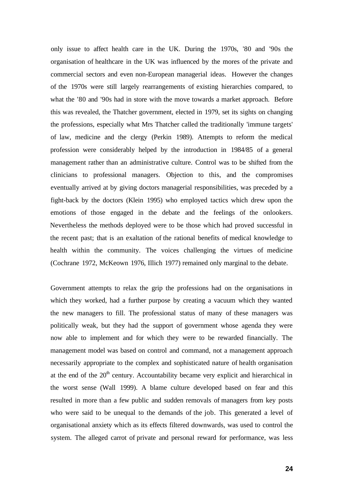only issue to affect health care in the UK. During the 1970s, '80 and '90s the organisation of healthcare in the UK was influenced by the mores of the private and commercial sectors and even non-European managerial ideas. However the changes of the 1970s were still largely rearrangements of existing hierarchies compared, to what the '80 and '90s had in store with the move towards a market approach. Before this was revealed, the Thatcher government, elected in 1979, set its sights on changing the professions, especially what Mrs Thatcher called the traditionally 'immune targets' of law, medicine and the clergy (Perkin 1989). Attempts to reform the medical profession were considerably helped by the introduction in 1984/85 of a general management rather than an administrative culture. Control was to be shifted from the clinicians to professional managers. Objection to this, and the compromises eventually arrived at by giving doctors managerial responsibilities, was preceded by a fight-back by the doctors (Klein 1995) who employed tactics which drew upon the emotions of those engaged in the debate and the feelings of the onlookers. Nevertheless the methods deployed were to be those which had proved successful in the recent past; that is an exaltation of the rational benefits of medical knowledge to health within the community. The voices challenging the virtues of medicine (Cochrane 1972, McKeown 1976, Illich 1977) remained only marginal to the debate.

Government attempts to relax the grip the professions had on the organisations in which they worked, had a further purpose by creating a vacuum which they wanted the new managers to fill. The professional status of many of these managers was politically weak, but they had the support of government whose agenda they were now able to implement and for which they were to be rewarded financially. The management model was based on control and command, not a management approach necessarily appropriate to the complex and sophisticated nature of health organisation at the end of the  $20<sup>th</sup>$  century. Accountability became very explicit and hierarchical in the worst sense (Wall 1999). A blame culture developed based on fear and this resulted in more than a few public and sudden removals of managers from key posts who were said to be unequal to the demands of the job. This generated a level of organisational anxiety which as its effects filtered downwards, was used to control the system. The alleged carrot of private and personal reward for performance, was less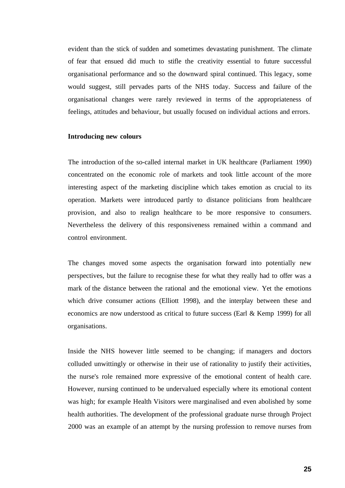evident than the stick of sudden and sometimes devastating punishment. The climate of fear that ensued did much to stifle the creativity essential to future successful organisational performance and so the downward spiral continued. This legacy, some would suggest, still pervades parts of the NHS today. Success and failure of the organisational changes were rarely reviewed in terms of the appropriateness of feelings, attitudes and behaviour, but usually focused on individual actions and errors.

#### **Introducing new colours**

The introduction of the so-called internal market in UK healthcare (Parliament 1990) concentrated on the economic role of markets and took little account of the more interesting aspect of the marketing discipline which takes emotion as crucial to its operation. Markets were introduced partly to distance politicians from healthcare provision, and also to realign healthcare to be more responsive to consumers. Nevertheless the delivery of this responsiveness remained within a command and control environment.

The changes moved some aspects the organisation forward into potentially new perspectives, but the failure to recognise these for what they really had to offer was a mark of the distance between the rational and the emotional view. Yet the emotions which drive consumer actions (Elliott 1998), and the interplay between these and economics are now understood as critical to future success (Earl & Kemp 1999) for all organisations.

Inside the NHS however little seemed to be changing; if managers and doctors colluded unwittingly or otherwise in their use of rationality to justify their activities, the nurse's role remained more expressive of the emotional content of health care. However, nursing continued to be undervalued especially where its emotional content was high; for example Health Visitors were marginalised and even abolished by some health authorities. The development of the professional graduate nurse through Project 2000 was an example of an attempt by the nursing profession to remove nurses from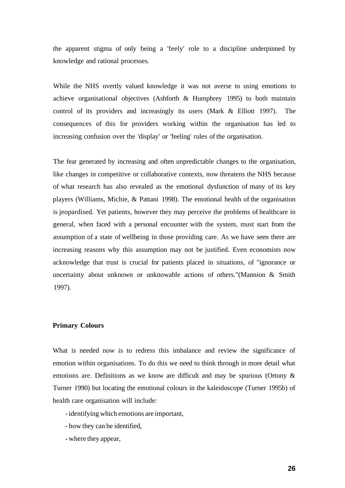the apparent stigma of only being a 'feely' role to a discipline underpinned by knowledge and rational processes.

While the NHS overtly valued knowledge it was not averse to using emotions to achieve organisational objectives (Ashforth & Humphrey 1995) to both maintain control of its providers and increasingly its users (Mark & Elliott 1997). The consequences of this for providers working within the organisation has led to increasing confusion over the 'display' or 'feeling' rules of the organisation.

The fear generated by increasing and often unpredictable changes to the organisation, like changes in competitive or collaborative contexts, now threatens the NHS because of what research has also revealed as the emotional dysfunction of many of its key players (Williams, Michie, & Pattani 1998). The emotional health of the organisation is jeopardised. Yet patients, however they may perceive the problems of healthcare in general, when faced with a personal encounter with the system, must start from the assumption of a state of wellbeing in those providing care. As we have seen there are increasing reasons why this assumption may not be justified. Even economists now acknowledge that trust is crucial for patients placed in situations, of "ignorance or uncertainty about unknown or unknowable actions of others."(Mannion & Smith 1997).

#### **Primary Colours**

What is needed now is to redress this imbalance and review the significance of emotion within organisations. To do this we need to think through in more detail what emotions are. Definitions as we know are difficult and may be spurious (Ortony & Turner 1990) but locating the emotional colours in the kaleidoscope (Turner 1995b) of health care organisation will include:

- identifying which emotions are important,
- how they can be identified,
- where they appear,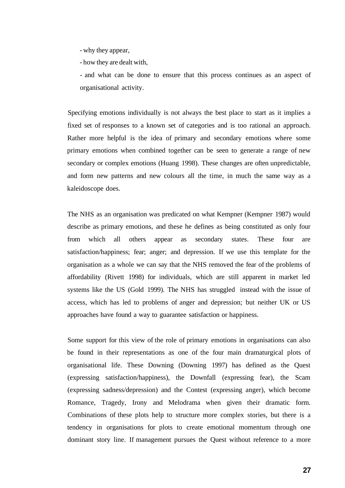- why they appear,
- how they are dealt with,

- and what can be done to ensure that this process continues as an aspect of organisational activity.

Specifying emotions individually is not always the best place to start as it implies a fixed set of responses to a known set of categories and is too rational an approach. Rather more helpful is the idea of primary and secondary emotions where some primary emotions when combined together can be seen to generate a range of new secondary or complex emotions (Huang 1998). These changes are often unpredictable, and form new patterns and new colours all the time, in much the same way as a kaleidoscope does.

The NHS as an organisation was predicated on what Kempner (Kempner 1987) would describe as primary emotions, and these he defines as being constituted as only four from which all others appear as secondary states. These four are satisfaction/happiness; fear; anger; and depression. If we use this template for the organisation as a whole we can say that the NHS removed the fear of the problems of affordability (Rivett 1998) for individuals, which are still apparent in market led systems like the US (Gold 1999). The NHS has struggled instead with the issue of access, which has led to problems of anger and depression; but neither UK or US approaches have found a way to guarantee satisfaction or happiness.

Some support for this view of the role of primary emotions in organisations can also be found in their representations as one of the four main dramaturgical plots of organisational life. These Downing (Downing 1997) has defined as the Quest (expressing satisfaction/happiness), the Downfall (expressing fear), the Scam (expressing sadness/depression) and the Contest (expressing anger), which become Romance, Tragedy, Irony and Melodrama when given their dramatic form. Combinations of these plots help to structure more complex stories, but there is a tendency in organisations for plots to create emotional momentum through one dominant story line. If management pursues the Quest without reference to a more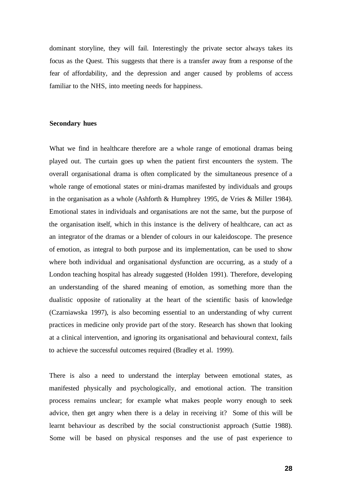dominant storyline, they will fail. Interestingly the private sector always takes its focus as the Quest. This suggests that there is a transfer away from a response of the fear of affordability, and the depression and anger caused by problems of access familiar to the NHS, into meeting needs for happiness.

#### **Secondary hues**

What we find in healthcare therefore are a whole range of emotional dramas being played out. The curtain goes up when the patient first encounters the system. The overall organisational drama is often complicated by the simultaneous presence of a whole range of emotional states or mini-dramas manifested by individuals and groups in the organisation as a whole (Ashforth & Humphrey 1995, de Vries & Miller 1984). Emotional states in individuals and organisations are not the same, but the purpose of the organisation itself, which in this instance is the delivery of healthcare, can act as an integrator of the dramas or a blender of colours in our kaleidoscope. The presence of emotion, as integral to both purpose and its implementation, can be used to show where both individual and organisational dysfunction are occurring, as a study of a London teaching hospital has already suggested (Holden 1991). Therefore, developing an understanding of the shared meaning of emotion, as something more than the dualistic opposite of rationality at the heart of the scientific basis of knowledge (Czarniawska 1997), is also becoming essential to an understanding of why current practices in medicine only provide part of the story. Research has shown that looking at a clinical intervention, and ignoring its organisational and behavioural context, fails to achieve the successful outcomes required (Bradley et al. 1999).

There is also a need to understand the interplay between emotional states, as manifested physically and psychologically, and emotional action. The transition process remains unclear; for example what makes people worry enough to seek advice, then get angry when there is a delay in receiving it? Some of this will be learnt behaviour as described by the social constructionist approach (Suttie 1988). Some will be based on physical responses and the use of past experience to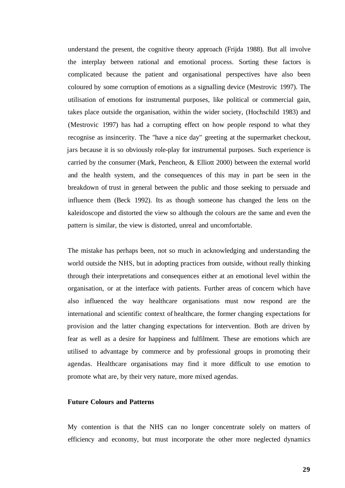understand the present, the cognitive theory approach (Frijda 1988). But all involve the interplay between rational and emotional process. Sorting these factors is complicated because the patient and organisational perspectives have also been coloured by some corruption of emotions as a signalling device (Mestrovic 1997). The utilisation of emotions for instrumental purposes, like political or commercial gain, takes place outside the organisation, within the wider society, (Hochschild 1983) and (Mestrovic 1997) has had a corrupting effect on how people respond to what they recognise as insincerity. The "have a nice day" greeting at the supermarket checkout, jars because it is so obviously role-play for instrumental purposes. Such experience is carried by the consumer (Mark, Pencheon, & Elliott 2000) between the external world and the health system, and the consequences of this may in part be seen in the breakdown of trust in general between the public and those seeking to persuade and influence them (Beck 1992). Its as though someone has changed the lens on the kaleidoscope and distorted the view so although the colours are the same and even the pattern is similar, the view is distorted, unreal and uncomfortable.

The mistake has perhaps been, not so much in acknowledging and understanding the world outside the NHS, but in adopting practices from outside, without really thinking through their interpretations and consequences either at an emotional level within the organisation, or at the interface with patients. Further areas of concern which have also influenced the way healthcare organisations must now respond are the international and scientific context of healthcare, the former changing expectations for provision and the latter changing expectations for intervention. Both are driven by fear as well as a desire for happiness and fulfilment. These are emotions which are utilised to advantage by commerce and by professional groups in promoting their agendas. Healthcare organisations may find it more difficult to use emotion to promote what are, by their very nature, more mixed agendas.

#### **Future Colours and Patterns**

My contention is that the NHS can no longer concentrate solely on matters of efficiency and economy, but must incorporate the other more neglected dynamics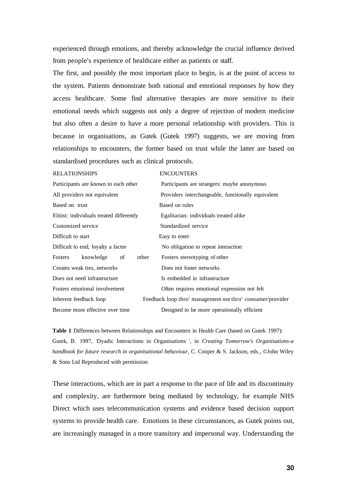experienced through emotions, and thereby acknowledge the crucial influence derived from people's experience of healthcare either as patients or staff.

The first, and possibly the most important place to begin, is at the point of access to the system. Patients demonstrate both rational and emotional responses by how they access healthcare. Some find alternative therapies are more sensitive to their emotional needs which suggests not only a degree of rejection of modern medicine but also often a desire to have a more personal relationship with providers. This is because in organisations, as Gutek (Gutek 1997) suggests, we are moving from relationships to encounters, the former based on trust while the latter are based on standardised procedures such as clinical protocols.

| <b>RELATIONSHIPS</b>                     | <b>ENCOUNTERS</b>                                          |  |
|------------------------------------------|------------------------------------------------------------|--|
| Participants are known to each other     | Participants are strangers: maybe anonymous                |  |
| All providers not equivalent             | Providers interchangeable, functionally equivalent         |  |
| Based on trust                           | Based on rules                                             |  |
| Elitist: individuals treated differently | Egalitarian: individuals treated alike                     |  |
| Customized service                       | Standardized service                                       |  |
| Difficult to start                       | Easy to enter                                              |  |
| Difficult to end; loyalty a factor       | No obligation to repeat interaction                        |  |
| other<br>knowledge<br>Fosters<br>of      | Fosters stereotyping of other                              |  |
| Creates weak ties, networks              | Does not foster networks                                   |  |
| Does not need infrastructure             | Is embedded in infrastructure                              |  |
| Fosters emotional involvement            | Often requires emotional expression not felt               |  |
| Inherent feedback loop                   | Feedback loop thro' management not thro' consumer/provider |  |
| Become more effective over time          | Designed to be more operationally efficient                |  |

**Table 1** Differences between Relationships and Encounters in Health Care (based on Gutek 1997): Gutek, B. 1997, 'Dyadic Interactions in Organisations ', in *Creating Tomorrow's Organisations-a handbook for future research in organisational behaviour,* C. Cooper & S. Jackson, eds., ©John Wiley & Sons Ltd Reproduced with permission

These interactions, which are in part a response to the pace of life and its discontinuity and complexity, are furthermore being mediated by technology, for example NHS Direct which uses telecommunication systems and evidence based decision support systems to provide health care. Emotions in these circumstances, as Gutek points out, are increasingly managed in a more transitory and impersonal way. Understanding the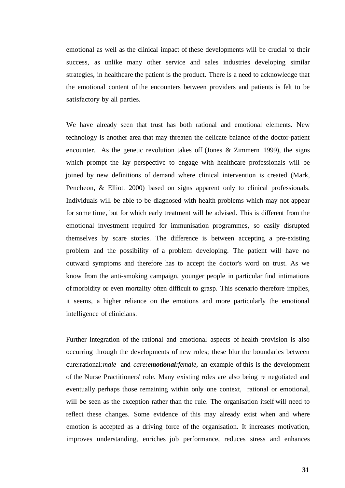emotional as well as the clinical impact of these developments will be crucial to their success, as unlike many other service and sales industries developing similar strategies, in healthcare the patient is the product. There is a need to acknowledge that the emotional content of the encounters between providers and patients is felt to be satisfactory by all parties.

We have already seen that trust has both rational and emotional elements. New technology is another area that may threaten the delicate balance of the doctor-patient encounter. As the genetic revolution takes off (Jones  $\&$  Zimmern 1999), the signs which prompt the lay perspective to engage with healthcare professionals will be joined by new definitions of demand where clinical intervention is created (Mark, Pencheon, & Elliott 2000) based on signs apparent only to clinical professionals. Individuals will be able to be diagnosed with health problems which may not appear for some time, but for which early treatment will be advised. This is different from the emotional investment required for immunisation programmes, so easily disrupted themselves by scare stories. The difference is between accepting a pre-existing problem and the possibility of a problem developing. The patient will have no outward symptoms and therefore has to accept the doctor's word on trust. As we know from the anti-smoking campaign, younger people in particular find intimations of morbidity or even mortality often difficult to grasp. This scenario therefore implies, it seems, a higher reliance on the emotions and more particularly the emotional intelligence of clinicians.

Further integration of the rational and emotional aspects of health provision is also occurring through the developments of new roles; these blur the boundaries between cure:rational*:male* and *care:emotional:female,* an example of this is the development of the Nurse Practitioners' role. Many existing roles are also being re negotiated and eventually perhaps those remaining within only one context, rational or emotional, will be seen as the exception rather than the rule. The organisation itself will need to reflect these changes. Some evidence of this may already exist when and where emotion is accepted as a driving force of the organisation. It increases motivation, improves understanding, enriches job performance, reduces stress and enhances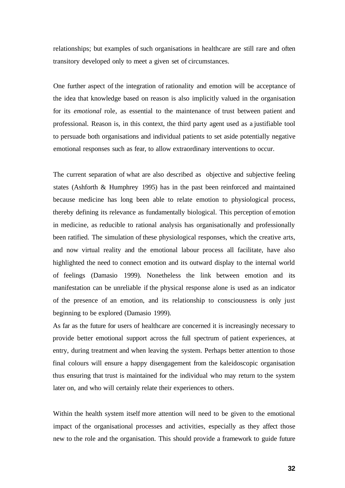relationships; but examples of such organisations in healthcare are still rare and often transitory developed only to meet a given set of circumstances.

One further aspect of the integration of rationality and emotion will be acceptance of the idea that knowledge based on reason is also implicitly valued in the organisation for its *emotional* role, as essential to the maintenance of trust between patient and professional. Reason is, in this context, the third party agent used as a justifiable tool to persuade both organisations and individual patients to set aside potentially negative emotional responses such as fear, to allow extraordinary interventions to occur.

The current separation of what are also described as objective and subjective feeling states (Ashforth & Humphrey 1995) has in the past been reinforced and maintained because medicine has long been able to relate emotion to physiological process, thereby defining its relevance as fundamentally biological. This perception of emotion in medicine, as reducible to rational analysis has organisationally and professionally been ratified. The simulation of these physiological responses, which the creative arts, and now virtual reality and the emotional labour process all facilitate, have also highlighted the need to connect emotion and its outward display to the internal world of feelings (Damasio 1999). Nonetheless the link between emotion and its manifestation can be unreliable if the physical response alone is used as an indicator of the presence of an emotion, and its relationship to consciousness is only just beginning to be explored (Damasio 1999).

As far as the future for users of healthcare are concerned it is increasingly necessary to provide better emotional support across the full spectrum of patient experiences, at entry, during treatment and when leaving the system. Perhaps better attention to those final colours will ensure a happy disengagement from the kaleidoscopic organisation thus ensuring that trust is maintained for the individual who may return to the system later on, and who will certainly relate their experiences to others.

Within the health system itself more attention will need to be given to the emotional impact of the organisational processes and activities, especially as they affect those new to the role and the organisation. This should provide a framework to guide future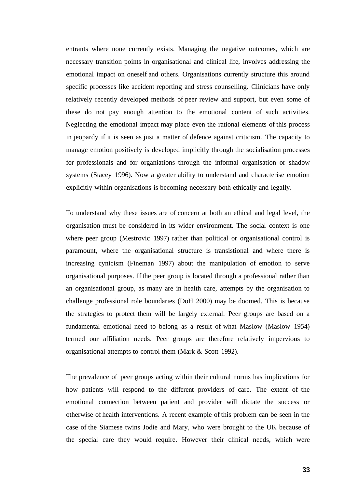entrants where none currently exists. Managing the negative outcomes, which are necessary transition points in organisational and clinical life, involves addressing the emotional impact on oneself and others. Organisations currently structure this around specific processes like accident reporting and stress counselling. Clinicians have only relatively recently developed methods of peer review and support, but even some of these do not pay enough attention to the emotional content of such activities. Neglecting the emotional impact may place even the rational elements of this process in jeopardy if it is seen as just a matter of defence against criticism. The capacity to manage emotion positively is developed implicitly through the socialisation processes for professionals and for organiations through the informal organisation or shadow systems (Stacey 1996). Now a greater ability to understand and characterise emotion explicitly within organisations is becoming necessary both ethically and legally.

To understand why these issues are of concern at both an ethical and legal level, the organisation must be considered in its wider environment. The social context is one where peer group (Mestrovic 1997) rather than political or organisational control is paramount, where the organisational structure is transistional and where there is increasing cynicism (Fineman 1997) about the manipulation of emotion to serve organisational purposes. If the peer group is located through a professional rather than an organisational group, as many are in health care, attempts by the organisation to challenge professional role boundaries (DoH 2000) may be doomed. This is because the strategies to protect them will be largely external. Peer groups are based on a fundamental emotional need to belong as a result of what Maslow (Maslow 1954) termed our affiliation needs. Peer groups are therefore relatively impervious to organisational attempts to control them (Mark & Scott 1992).

The prevalence of peer groups acting within their cultural norms has implications for how patients will respond to the different providers of care. The extent of the emotional connection between patient and provider will dictate the success or otherwise of health interventions. A recent example of this problem can be seen in the case of the Siamese twins Jodie and Mary, who were brought to the UK because of the special care they would require. However their clinical needs, which were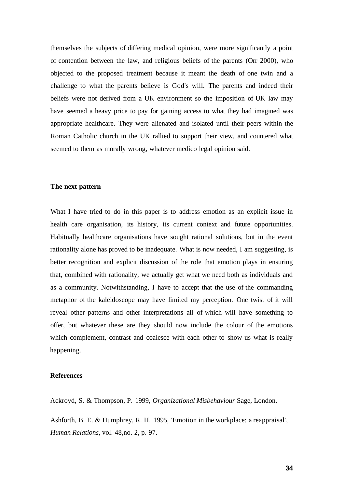themselves the subjects of differing medical opinion, were more significantly a point of contention between the law, and religious beliefs of the parents (Orr 2000), who objected to the proposed treatment because it meant the death of one twin and a challenge to what the parents believe is God's will. The parents and indeed their beliefs were not derived from a UK environment so the imposition of UK law may have seemed a heavy price to pay for gaining access to what they had imagined was appropriate healthcare. They were alienated and isolated until their peers within the Roman Catholic church in the UK rallied to support their view, and countered what seemed to them as morally wrong, whatever medico legal opinion said.

#### **The next pattern**

What I have tried to do in this paper is to address emotion as an explicit issue in health care organisation, its history, its current context and future opportunities. Habitually healthcare organisations have sought rational solutions, but in the event rationality alone has proved to be inadequate. What is now needed, I am suggesting, is better recognition and explicit discussion of the role that emotion plays in ensuring that, combined with rationality, we actually get what we need both as individuals and as a community. Notwithstanding, I have to accept that the use of the commanding metaphor of the kaleidoscope may have limited my perception. One twist of it will reveal other patterns and other interpretations all of which will have something to offer, but whatever these are they should now include the colour of the emotions which complement, contrast and coalesce with each other to show us what is really happening.

#### **References**

Ackroyd, S. & Thompson, P. 1999, *Organizational Misbehaviour* Sage, London.

Ashforth, B. E. & Humphrey, R. H. 1995, 'Emotion in the workplace: a reappraisal', *Human Relations,* vol. 48,no. 2, p. 97.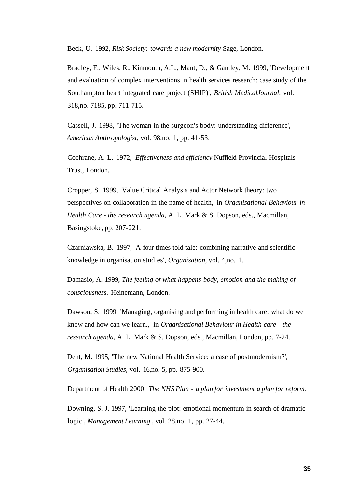Beck, U. 1992, *Risk Society: towards a new modernity* Sage, London.

Bradley, F., Wiles, R., Kinmouth, A.L., Mant, D., & Gantley, M. 1999, 'Development and evaluation of complex interventions in health services research: case study of the Southampton heart integrated care project (SHIP)', *British MedicalJournal,* vol. 318,no. 7185, pp. 711-715.

Cassell, J. 1998, 'The woman in the surgeon's body: understanding difference', *American Anthropologist,* vol. 98,no. 1, pp. 41-53.

Cochrane, A. L. 1972, *Effectiveness and efficiency* Nuffield Provincial Hospitals Trust, London.

Cropper, S. 1999, 'Value Critical Analysis and Actor Network theory: two perspectives on collaboration in the name of health,' in *Organisational Behaviour in Health Care - the research agenda,* A. L. Mark & S. Dopson, eds., Macmillan, Basingstoke, pp. 207-221.

Czarniawska, B. 1997, 'A four times told tale: combining narrative and scientific knowledge in organisation studies', *Organisation,* vol. 4,no. 1.

Damasio, A. 1999, *The feeling of what happens-body, emotion and the making of consciousness.* Heinemann, London.

Dawson, S. 1999, 'Managing, organising and performing in health care: what do we know and how can we learn.,' in *Organisational Behaviour in Health care - the research agenda,* A. L. Mark & S. Dopson, eds., Macmillan, London, pp. 7-24.

Dent, M. 1995, 'The new National Health Service: a case of postmodernism?', *Organisation Studies,* vol. 16,no. 5, pp. 875-900.

Department of Health 2000, *The NHS Plan - a plan for investment a plan for reform.* 

Downing, S. J. 1997, 'Learning the plot: emotional momentum in search of dramatic logic', *Management Learning* , vol. 28,no. 1, pp. 27-44.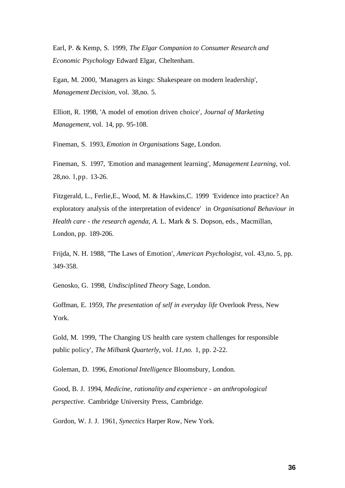Earl, P. & Kemp, S. 1999, *The Elgar Companion to Consumer Research and Economic Psychology* Edward Elgar, Cheltenham.

Egan, M. 2000, 'Managers as kings: Shakespeare on modern leadership', *Management Decision,* vol. 38,no. 5.

Elliott, R. 1998, 'A model of emotion driven choice', *Journal of Marketing Management,* vol. 14, pp. 95-108.

Fineman, S. 1993, *Emotion in Organisations* Sage, London.

Fineman, S. 1997, 'Emotion and management learning', *Management Learning,* vol. 28,no. l,pp. 13-26.

Fitzgerald, L., Ferlie,E., Wood, M. & Hawkins,C. 1999 'Evidence into practice? An exploratory analysis of the interpretation of evidence' in *Organisational Behaviour in Health care - the research agenda, A.* L. Mark & S. Dopson, eds., Macmillan, London, pp. 189-206.

Frijda, N. H. 1988, "The Laws of Emotion', *American Psychologist,* vol. 43,no. 5, pp. 349-358.

Genosko, G. 1998, *Undisciplined Theory* Sage, London.

Goffman, E. 1959, *The presentation of self in everyday life* Overlook Press, New York.

Gold, M. 1999, 'The Changing US health care system challenges for responsible public policy', *The Milbank Quarterly,* vol. *11,no.* 1, pp. 2-22.

Goleman, D. 1996, *Emotional Intelligence* Bloomsbury, London.

Good, B. J. 1994, *Medicine, rationality and experience - an anthropological perspective.* Cambridge University Press, Cambridge.

Gordon, W. J. J. 1961, *Synectics* Harper Row, New York.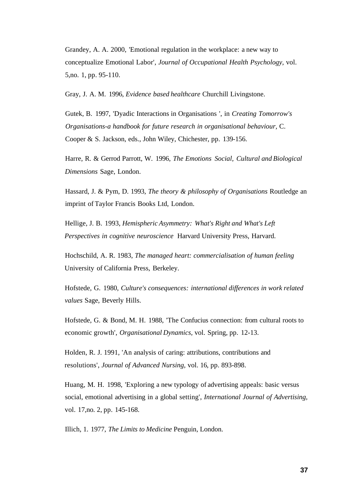Grandey, A. A. 2000, 'Emotional regulation in the workplace: a new way to conceptualize Emotional Labor', *Journal of Occupational Health Psychology,* vol. 5,no. 1, pp. 95-110.

Gray, J. A. M. 1996, *Evidence based healthcare* Churchill Livingstone.

Gutek, B. 1997, 'Dyadic Interactions in Organisations ', in *Creating Tomorrow's Organisations-a handbook for future research in organisational behaviour,* C. Cooper & S. Jackson, eds., John Wiley, Chichester, pp. 139-156.

Harre, R. & Gerrod Parrott, W. 1996, *The Emotions Social, Cultural and Biological Dimensions* Sage, London.

Hassard, J. & Pym, D. 1993, *The theory & philosophy of Organisations* Routledge an imprint of Taylor Francis Books Ltd, London.

Hellige, J. B. 1993, *Hemispheric Asymmetry: What's Right and What's Left Perspectives in cognitive neuroscience* Harvard University Press, Harvard.

Hochschild, A. R. 1983, *The managed heart: commercialisation of human feeling*  University of California Press, Berkeley.

Hofstede, G. 1980, *Culture's consequences: international differences in work related values* Sage, Beverly Hills.

Hofstede, G. & Bond, M. H. 1988, 'The Confucius connection: from cultural roots to economic growth', *Organisational Dynamics,* vol. Spring, pp. 12-13.

Holden, R. J. 1991, 'An analysis of caring: attributions, contributions and resolutions', *Journal of Advanced Nursing,* vol. 16, pp. 893-898.

Huang, M. H. 1998, 'Exploring a new typology of advertising appeals: basic versus social, emotional advertising in a global setting', *International Journal of Advertising,*  vol. 17,no. 2, pp. 145-168.

Illich, 1. 1977, *The Limits to Medicine* Penguin, London.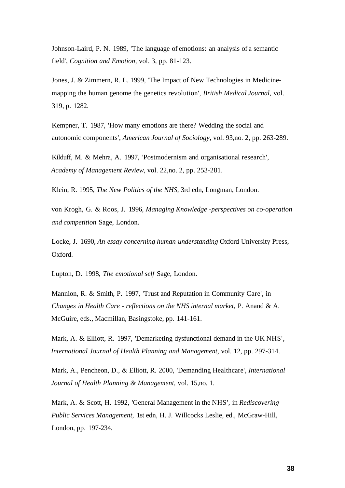Johnson-Laird, P. N. 1989, 'The language of emotions: an analysis of a semantic field', *Cognition and Emotion,* vol. 3, pp. 81-123.

Jones, J. & Zimmern, R. L. 1999, 'The Impact of New Technologies in Medicinemapping the human genome the genetics revolution', *British Medical Journal,* vol. 319, p. 1282.

Kempner, T. 1987, 'How many emotions are there? Wedding the social and autonomic components', *American Journal of Sociology,* vol. 93,no. 2, pp. 263-289.

Kilduff, M. & Mehra, A. 1997, 'Postmodernism and organisational research', *Academy of Management Review,* vol. 22,no. 2, pp. 253-281.

Klein, R. 1995, *The New Politics of the NHS,* 3rd edn, Longman, London.

von Krogh, G. & Roos, J. 1996, *Managing Knowledge -perspectives on co-operation and competition* Sage, London.

Locke, J. 1690, *An essay concerning human understanding* Oxford University Press, Oxford.

Lupton, D. 1998, *The emotional self* Sage, London.

Mannion, R. & Smith, P. 1997, 'Trust and Reputation in Community Care', in *Changes in Health Care - reflections on the NHS internal market,* P. Anand & A. McGuire, eds., Macmillan, Basingstoke, pp. 141-161.

Mark, A. & Elliott, R. 1997, 'Demarketing dysfunctional demand in the UK NHS', *International Journal of Health Planning and Management,* vol. 12, pp. 297-314.

Mark, A., Pencheon, D., & Elliott, R. 2000, 'Demanding Healthcare', *International Journal of Health Planning & Management,* vol. 15,no. 1.

Mark, A. & Scott, H. 1992, 'General Management in the NHS', in *Rediscovering Public Services Management,* 1st edn, H. J. Willcocks Leslie, ed., McGraw-Hill, London, pp. 197-234.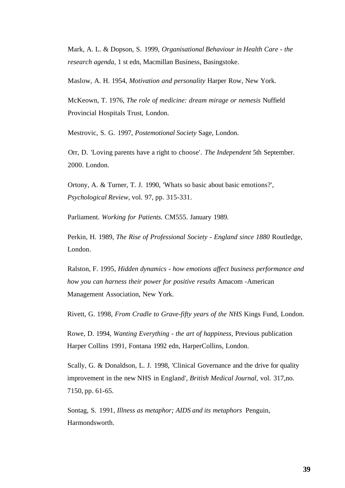Mark, A. L. & Dopson, S. 1999, *Organisational Behaviour in Health Care - the research agenda,* 1 st edn, Macmillan Business, Basingstoke.

Maslow, A. H. 1954, *Motivation and personality* Harper Row, New York.

McKeown, T. 1976, *The role of medicine: dream mirage or nemesis* Nuffield Provincial Hospitals Trust, London.

Mestrovic, S. G. 1997, *Postemotional Society* Sage, London.

Orr, D. 'Loving parents have a right to choose'. *The Independent* 5th September. 2000. London.

Ortony, A. & Turner, T. J. 1990, 'Whats so basic about basic emotions?', *Psychological Review,* vol. 97, pp. 315-331.

Parliament. *Working for Patients.* CM555. January 1989.

Perkin, H. 1989, *The Rise of Professional Society - England since 1880* Routledge, London.

Ralston, F. 1995, *Hidden dynamics - how emotions affect business performance and how you can harness their power for positive results* Amacom -American Management Association, New York.

Rivett, G. 1998, *From Cradle to Grave-fifty years of the NHS* Kings Fund, London.

Rowe, D. 1994, *Wanting Everything - the art of happiness,* Previous publication Harper Collins 1991, Fontana 1992 edn, HarperCollins, London.

Scally, G. & Donaldson, L. J. 1998, 'Clinical Governance and the drive for quality improvement in the new NHS in England', *British Medical Journal,* vol. 317,no. 7150, pp. 61-65.

Sontag, S. 1991, *Illness as metaphor; AIDS and its metaphors* Penguin, Harmondsworth.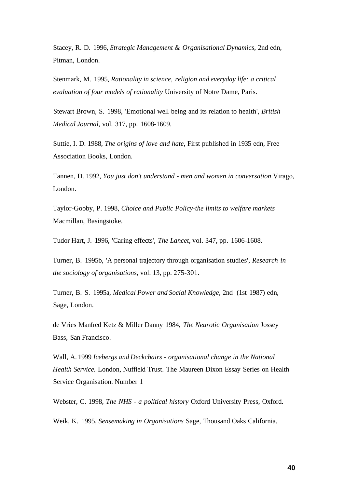Stacey, R. D. 1996, *Strategic Management & Organisational Dynamics,* 2nd edn, Pitman, London.

Stenmark, M. 1995, *Rationality in science, religion and everyday life: a critical evaluation of four models of rationality* University of Notre Dame, Paris.

Stewart Brown, S. 1998, 'Emotional well being and its relation to health', *British Medical Journal,* vol. 317, pp. 1608-1609.

Suttie, I. D. 1988, *The origins of love and hate,* First published in 1935 edn, Free Association Books, London.

Tannen, D. 1992, *You just don't understand - men and women in conversation* Virago, London.

Taylor-Gooby, P. 1998, *Choice and Public Policy-the limits to welfare markets*  Macmillan, Basingstoke.

Tudor Hart, J. 1996, 'Caring effects', *The Lancet,* vol. 347, pp. 1606-1608.

Turner, B. 1995b, 'A personal trajectory through organisation studies', *Research in the sociology of organisations,* vol. 13, pp. 275-301.

Turner, B. S. 1995a, *Medical Power and Social Knowledge,* 2nd (1st 1987) edn, Sage, London.

de Vries Manfred Ketz & Miller Danny 1984, *The Neurotic Organisation* Jossey Bass, San Francisco.

Wall, A. 1999 *Icebergs and Deckchairs - organisational change in the National Health Service.* London, Nuffield Trust. The Maureen Dixon Essay Series on Health Service Organisation. Number 1

Webster, C. 1998, *The NHS - a political history* Oxford University Press, Oxford.

Weik, K. 1995, *Sensemaking in Organisations* Sage, Thousand Oaks California.